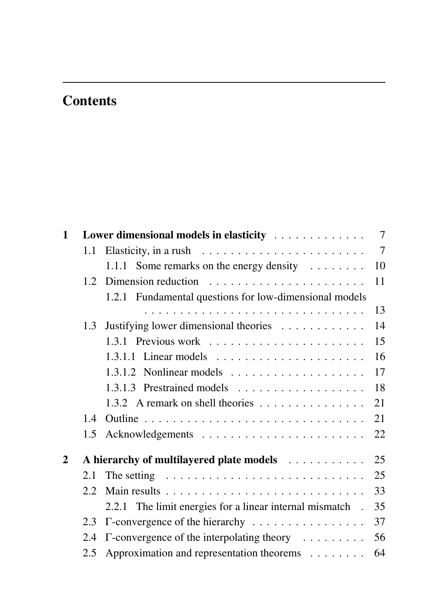## **Contents**

| $\mathbf{1}$ |               | Lower dimensional models in elasticity                                    | 7  |
|--------------|---------------|---------------------------------------------------------------------------|----|
|              | 1.1           |                                                                           | 7  |
|              |               | 1.1.1 Some remarks on the energy density $\dots \dots$                    | 10 |
|              |               |                                                                           | 11 |
|              |               | 1.2.1 Fundamental questions for low-dimensional models                    |    |
|              |               |                                                                           | 13 |
|              | 1.3           | Justifying lower dimensional theories                                     | 14 |
|              |               | 1.3.1 Previous work                                                       | 15 |
|              |               |                                                                           | 16 |
|              |               | $1.3.1.2$ Nonlinear models                                                | 17 |
|              |               |                                                                           | 18 |
|              |               |                                                                           | 21 |
|              | 1.4           |                                                                           | 21 |
|              | 1.5           |                                                                           | 22 |
| 2            |               |                                                                           |    |
|              | 2.1           | The setting $\dots \dots \dots \dots \dots \dots \dots \dots \dots \dots$ | 25 |
|              | $2.2^{\circ}$ |                                                                           | 33 |
|              |               | 2.2.1 The limit energies for a linear internal mismatch.                  | 35 |
|              | 2.3           | $\Gamma$ -convergence of the hierarchy $\dots \dots \dots \dots \dots$    | 37 |
|              | 2.4           | $\Gamma$ -convergence of the interpolating theory $\dots \dots$           | 56 |
|              | 2.5           | Approximation and representation theorems                                 | 64 |